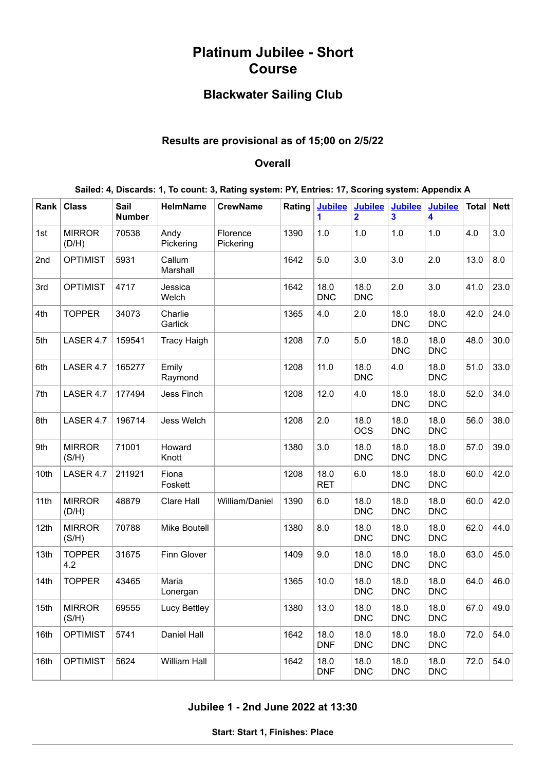# **Platinum Jubilee - Short Course**

## **Blackwater Sailing Club**

## **Results are provisional as of 15;00 on 2/5/22**

#### **Overall**

| Sailed: 4, Discards: 1, To count: 3, Rating system: PY, Entries: 17, Scoring system: Appendix A |  |  |  |  |  |
|-------------------------------------------------------------------------------------------------|--|--|--|--|--|
|-------------------------------------------------------------------------------------------------|--|--|--|--|--|

| Rank | <b>Class</b>           | Sail<br><b>Number</b> | <b>HelmName</b>    | <b>CrewName</b>       | Rating | <b>Jubilee</b><br><u>1</u> | <b>Jubilee</b><br>$\overline{2}$ | <b>Jubilee</b><br>$\overline{\mathbf{3}}$ | <b>Jubilee</b><br>$\overline{\mathbf{4}}$ | <b>Total</b> | Net  |
|------|------------------------|-----------------------|--------------------|-----------------------|--------|----------------------------|----------------------------------|-------------------------------------------|-------------------------------------------|--------------|------|
| 1st  | <b>MIRROR</b><br>(D/H) | 70538                 | Andy<br>Pickering  | Florence<br>Pickering | 1390   | 1.0                        | 1.0                              | 1.0                                       | 1.0                                       | 4.0          | 3.0  |
| 2nd  | <b>OPTIMIST</b>        | 5931                  | Callum<br>Marshall |                       | 1642   | 5.0                        | 3.0                              | 3.0                                       | 2.0                                       | 13.0         | 8.0  |
| 3rd  | <b>OPTIMIST</b>        | 4717                  | Jessica<br>Welch   |                       | 1642   | 18.0<br><b>DNC</b>         | 18.0<br><b>DNC</b>               | 2.0                                       | 3.0                                       | 41.0         | 23.0 |
| 4th  | <b>TOPPER</b>          | 34073                 | Charlie<br>Garlick |                       | 1365   | 4.0                        | 2.0                              | 18.0<br><b>DNC</b>                        | 18.0<br><b>DNC</b>                        | 42.0         | 24.0 |
| 5th  | LASER 4.7              | 159541                | <b>Tracy Haigh</b> |                       | 1208   | 7.0                        | 5.0                              | 18.0<br><b>DNC</b>                        | 18.0<br><b>DNC</b>                        | 48.0         | 30.0 |
| 6th  | LASER 4.7              | 165277                | Emily<br>Raymond   |                       | 1208   | 11.0                       | 18.0<br><b>DNC</b>               | 4.0                                       | 18.0<br><b>DNC</b>                        | 51.0         | 33.0 |
| 7th  | LASER 4.7              | 177494                | Jess Finch         |                       | 1208   | 12.0                       | 4.0                              | 18.0<br><b>DNC</b>                        | 18.0<br><b>DNC</b>                        | 52.0         | 34.0 |
| 8th  | LASER 4.7              | 196714                | Jess Welch         |                       | 1208   | 2.0                        | 18.0<br><b>OCS</b>               | 18.0<br><b>DNC</b>                        | 18.0<br><b>DNC</b>                        | 56.0         | 38.0 |
| 9th  | <b>MIRROR</b><br>(S/H) | 71001                 | Howard<br>Knott    |                       | 1380   | 3.0                        | 18.0<br><b>DNC</b>               | 18.0<br><b>DNC</b>                        | 18.0<br><b>DNC</b>                        | 57.0         | 39.0 |
| 10th | LASER 4.7              | 211921                | Fiona<br>Foskett   |                       | 1208   | 18.0<br><b>RET</b>         | 6.0                              | 18.0<br><b>DNC</b>                        | 18.0<br><b>DNC</b>                        | 60.0         | 42.0 |
| 11th | <b>MIRROR</b><br>(D/H) | 48879                 | Clare Hall         | William/Daniel        | 1390   | 6.0                        | 18.0<br><b>DNC</b>               | 18.0<br><b>DNC</b>                        | 18.0<br><b>DNC</b>                        | 60.0         | 42.0 |
| 12th | <b>MIRROR</b><br>(S/H) | 70788                 | Mike Boutell       |                       | 1380   | 8.0                        | 18.0<br><b>DNC</b>               | 18.0<br><b>DNC</b>                        | 18.0<br><b>DNC</b>                        | 62.0         | 44.0 |
| 13th | <b>TOPPER</b><br>4.2   | 31675                 | Finn Glover        |                       | 1409   | 9.0                        | 18.0<br><b>DNC</b>               | 18.0<br><b>DNC</b>                        | 18.0<br><b>DNC</b>                        | 63.0         | 45.0 |
| 14th | <b>TOPPER</b>          | 43465                 | Maria<br>Lonergan  |                       | 1365   | 10.0                       | 18.0<br><b>DNC</b>               | 18.0<br><b>DNC</b>                        | 18.0<br><b>DNC</b>                        | 64.0         | 46.0 |
| 15th | <b>MIRROR</b><br>(S/H) | 69555                 | Lucy Bettley       |                       | 1380   | 13.0                       | 18.0<br><b>DNC</b>               | 18.0<br><b>DNC</b>                        | 18.0<br><b>DNC</b>                        | 67.0         | 49.0 |
| 16th | <b>OPTIMIST</b>        | 5741                  | Daniel Hall        |                       | 1642   | 18.0<br><b>DNF</b>         | 18.0<br><b>DNC</b>               | 18.0<br><b>DNC</b>                        | 18.0<br><b>DNC</b>                        | 72.0         | 54.0 |
| 16th | <b>OPTIMIST</b>        | 5624                  | William Hall       |                       | 1642   | 18.0<br><b>DNF</b>         | 18.0<br><b>DNC</b>               | 18.0<br><b>DNC</b>                        | 18.0<br><b>DNC</b>                        | 72.0         | 54.0 |

<span id="page-0-0"></span>**Jubilee 1 - 2nd June 2022 at 13:30**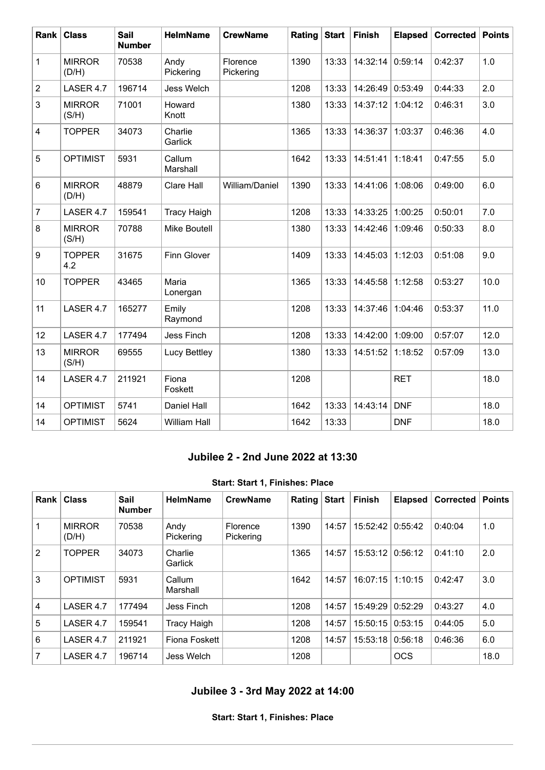| Rank                    | <b>Class</b>           | <b>Sail</b><br><b>Number</b> | <b>HelmName</b>     | <b>CrewName</b>       | Rating | <b>Start</b> | <b>Finish</b> | <b>Elapsed</b> | Corrected | <b>Points</b> |
|-------------------------|------------------------|------------------------------|---------------------|-----------------------|--------|--------------|---------------|----------------|-----------|---------------|
| $\mathbf{1}$            | <b>MIRROR</b><br>(D/H) | 70538                        | Andy<br>Pickering   | Florence<br>Pickering | 1390   | 13:33        | 14:32:14      | 0:59:14        | 0:42:37   | 1.0           |
| $\overline{c}$          | LASER 4.7              | 196714                       | Jess Welch          |                       | 1208   | 13:33        | 14:26:49      | 0:53:49        | 0:44:33   | 2.0           |
| 3                       | <b>MIRROR</b><br>(S/H) | 71001                        | Howard<br>Knott     |                       | 1380   | 13:33        | 14:37:12      | 1:04:12        | 0:46:31   | 3.0           |
| $\overline{\mathbf{4}}$ | <b>TOPPER</b>          | 34073                        | Charlie<br>Garlick  |                       | 1365   | 13:33        | 14:36:37      | 1:03:37        | 0:46:36   | 4.0           |
| 5                       | <b>OPTIMIST</b>        | 5931                         | Callum<br>Marshall  |                       | 1642   | 13:33        | 14:51:41      | 1:18:41        | 0:47:55   | 5.0           |
| 6                       | <b>MIRROR</b><br>(D/H) | 48879                        | Clare Hall          | William/Daniel        | 1390   | 13:33        | 14:41:06      | 1:08:06        | 0:49:00   | 6.0           |
| $\overline{7}$          | LASER 4.7              | 159541                       | <b>Tracy Haigh</b>  |                       | 1208   | 13:33        | 14:33:25      | 1:00:25        | 0:50:01   | 7.0           |
| 8                       | <b>MIRROR</b><br>(S/H) | 70788                        | Mike Boutell        |                       | 1380   | 13:33        | 14:42:46      | 1:09:46        | 0:50:33   | 8.0           |
| 9                       | <b>TOPPER</b><br>4.2   | 31675                        | Finn Glover         |                       | 1409   | 13:33        | 14:45:03      | 1:12:03        | 0:51:08   | 9.0           |
| 10                      | <b>TOPPER</b>          | 43465                        | Maria<br>Lonergan   |                       | 1365   | 13:33        | 14:45:58      | 1:12:58        | 0:53:27   | 10.0          |
| 11                      | LASER 4.7              | 165277                       | Emily<br>Raymond    |                       | 1208   | 13:33        | 14:37:46      | 1:04:46        | 0:53:37   | 11.0          |
| 12                      | LASER 4.7              | 177494                       | Jess Finch          |                       | 1208   | 13:33        | 14:42:00      | 1:09:00        | 0:57:07   | 12.0          |
| 13                      | <b>MIRROR</b><br>(S/H) | 69555                        | Lucy Bettley        |                       | 1380   | 13:33        | 14:51:52      | 1:18:52        | 0:57:09   | 13.0          |
| 14                      | LASER 4.7              | 211921                       | Fiona<br>Foskett    |                       | 1208   |              |               | <b>RET</b>     |           | 18.0          |
| 14                      | <b>OPTIMIST</b>        | 5741                         | Daniel Hall         |                       | 1642   | 13:33        | 14:43:14      | <b>DNF</b>     |           | 18.0          |
| 14                      | <b>OPTIMIST</b>        | 5624                         | <b>William Hall</b> |                       | 1642   | 13:33        |               | <b>DNF</b>     |           | 18.0          |

### **Jubilee 2 - 2nd June 2022 at 13:30**

#### **Start: Start 1, Finishes: Place**

<span id="page-1-0"></span>

| Rank                    | <b>Class</b>           | <b>Sail</b><br><b>Number</b> | <b>HelmName</b>    | <b>CrewName</b>       | Rating | <b>Start</b> | <b>Finish</b> | <b>Elapsed</b> | <b>Corrected</b> | <b>Points</b> |
|-------------------------|------------------------|------------------------------|--------------------|-----------------------|--------|--------------|---------------|----------------|------------------|---------------|
|                         | <b>MIRROR</b><br>(D/H) | 70538                        | Andy<br>Pickering  | Florence<br>Pickering | 1390   | 14:57        | 15:52:42      | 0:55:42        | 0:40:04          | 1.0           |
| 2                       | <b>TOPPER</b>          | 34073                        | Charlie<br>Garlick |                       | 1365   | 14:57        | 15:53:12      | 0:56:12        | 0:41:10          | 2.0           |
| 3                       | <b>OPTIMIST</b>        | 5931                         | Callum<br>Marshall |                       | 1642   | 14:57        | 16:07:15      | 1:10:15        | 0:42:47          | 3.0           |
| $\overline{\mathbf{4}}$ | LASER 4.7              | 177494                       | Jess Finch         |                       | 1208   | 14:57        | 15:49:29      | 0:52:29        | 0:43:27          | 4.0           |
| 5                       | LASER 4.7              | 159541                       | <b>Tracy Haigh</b> |                       | 1208   | 14:57        | 15:50:15      | 0:53:15        | 0:44:05          | 5.0           |
| 6                       | LASER 4.7              | 211921                       | Fiona Foskett      |                       | 1208   | 14:57        | 15:53:18      | 0:56:18        | 0:46:36          | 6.0           |
| 7                       | LASER 4.7              | 196714                       | Jess Welch         |                       | 1208   |              |               | <b>OCS</b>     |                  | 18.0          |

# <span id="page-1-1"></span>**Jubilee 3 - 3rd May 2022 at 14:00**

**Start: Start 1, Finishes: Place**